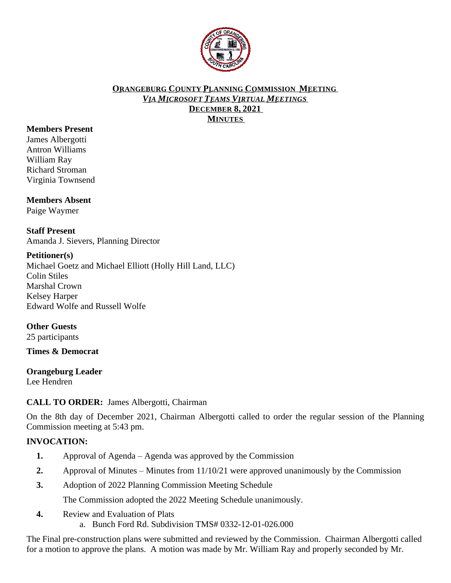

#### **ORANGEBURG COUNTY PLANNING COMMISSION MEETING** *VIA MICROSOFT TEAMS VIRTUAL MEETINGS* **DECEMBER 8, 2021 MINUTES**

#### **Members Present**

James Albergotti Antron Williams William Ray Richard Stroman Virginia Townsend

# **Members Absent**

Paige Waymer

#### **Staff Present** Amanda J. Sievers, Planning Director

#### **Petitioner(s)**

Michael Goetz and Michael Elliott (Holly Hill Land, LLC) Colin Stiles Marshal Crown Kelsey Harper Edward Wolfe and Russell Wolfe

#### **Other Guests**

25 participants

#### **Times & Democrat**

#### **Orangeburg Leader**

Lee Hendren

## **CALL TO ORDER:** James Albergotti, Chairman

On the 8th day of December 2021, Chairman Albergotti called to order the regular session of the Planning Commission meeting at 5:43 pm.

## **INVOCATION:**

- **1.** Approval of Agenda Agenda was approved by the Commission
- **2.** Approval of Minutes Minutes from 11/10/21 were approved unanimously by the Commission
- **3.** Adoption of 2022 Planning Commission Meeting Schedule

The Commission adopted the 2022 Meeting Schedule unanimously.

**4.** Review and Evaluation of Plats a. Bunch Ford Rd. Subdivision TMS# 0332-12-01-026.000

The Final pre-construction plans were submitted and reviewed by the Commission. Chairman Albergotti called for a motion to approve the plans. A motion was made by Mr. William Ray and properly seconded by Mr.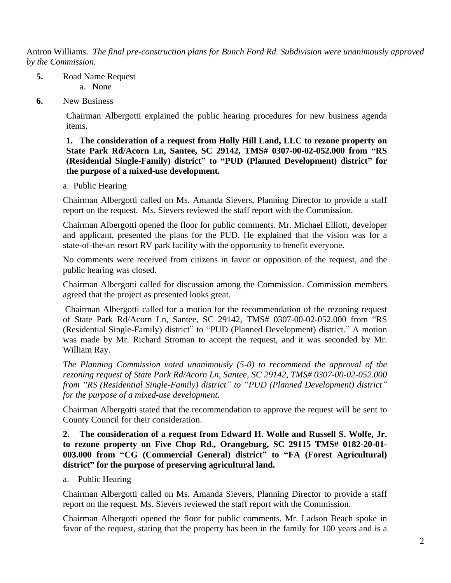Antron Williams. *The final pre-construction plans for Bunch Ford Rd. Subdivision were unanimously approved by the Commission.* 

- **5.** Road Name Request
	- a. None
- **6.** New Business

Chairman Albergotti explained the public hearing procedures for new business agenda items.

**1. The consideration of a request from Holly Hill Land, LLC to rezone property on State Park Rd/Acorn Ln, Santee, SC 29142, TMS# 0307-00-02-052.000 from "RS (Residential Single-Family) district" to "PUD (Planned Development) district" for the purpose of a mixed-use development.**

a. Public Hearing

Chairman Albergotti called on Ms. Amanda Sievers, Planning Director to provide a staff report on the request. Ms. Sievers reviewed the staff report with the Commission.

Chairman Albergotti opened the floor for public comments. Mr. Michael Elliott, developer and applicant, presented the plans for the PUD. He explained that the vision was for a state-of-the-art resort RV park facility with the opportunity to benefit everyone.

No comments were received from citizens in favor or opposition of the request, and the public hearing was closed.

Chairman Albergotti called for discussion among the Commission. Commission members agreed that the project as presented looks great.

Chairman Albergotti called for a motion for the recommendation of the rezoning request of State Park Rd/Acorn Ln, Santee, SC 29142, TMS# 0307-00-02-052.000 from "RS (Residential Single-Family) district" to "PUD (Planned Development) district." A motion was made by Mr. Richard Stroman to accept the request, and it was seconded by Mr. William Ray.

*The Planning Commission voted unanimously (5-0) to recommend the approval of the rezoning request of State Park Rd/Acorn Ln, Santee, SC 29142, TMS# 0307-00-02-052.000 from "RS (Residential Single-Family) district" to "PUD (Planned Development) district" for the purpose of a mixed-use development.*

Chairman Albergotti stated that the recommendation to approve the request will be sent to County Council for their consideration.

**2. The consideration of a request from Edward H. Wolfe and Russell S. Wolfe, Jr. to rezone property on Five Chop Rd., Orangeburg, SC 29115 TMS# 0182-20-01- 003.000 from "CG (Commercial General) district" to "FA (Forest Agricultural) district" for the purpose of preserving agricultural land.**

a.Public Hearing

Chairman Albergotti called on Ms. Amanda Sievers, Planning Director to provide a staff report on the request. Ms. Sievers reviewed the staff report with the Commission.

Chairman Albergotti opened the floor for public comments. Mr. Ladson Beach spoke in favor of the request, stating that the property has been in the family for 100 years and is a